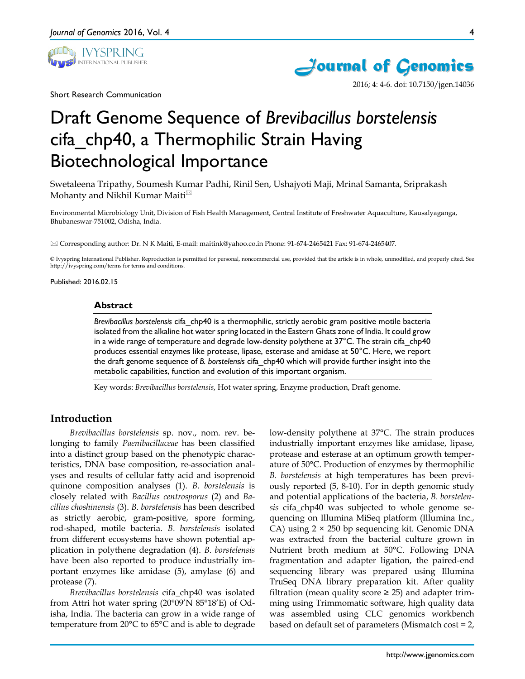

Short Research Communication



2016; 4: 4-6. doi: 10.7150/jgen.14036

# Draft Genome Sequence of *Brevibacillus borstelensis* cifa\_chp40, a Thermophilic Strain Having Biotechnological Importance

Swetaleena Tripathy, Soumesh Kumar Padhi, Rinil Sen, Ushajyoti Maji, Mrinal Samanta, Sriprakash Mohanty and Nikhil Kumar Maiti<sup>⊠</sup>

Environmental Microbiology Unit, Division of Fish Health Management, Central Institute of Freshwater Aquaculture, Kausalyaganga, Bhubaneswar-751002, Odisha, India.

Corresponding author: Dr. N K Maiti, E-mail: maitink@yahoo.co.in Phone: 91-674-2465421 Fax: 91-674-2465407.

© Ivyspring International Publisher. Reproduction is permitted for personal, noncommercial use, provided that the article is in whole, unmodified, and properly cited. See http://ivyspring.com/terms for terms and conditions.

Published: 2016.02.15

#### **Abstract**

*Brevibacillus borstelensis* cifa\_chp40 is a thermophilic, strictly aerobic gram positive motile bacteria isolated from the alkaline hot water spring located in the Eastern Ghats zone of India. It could grow in a wide range of temperature and degrade low-density polythene at  $37^{\circ}$ C. The strain cifa chp40 produces essential enzymes like protease, lipase, esterase and amidase at 50°C. Here, we report the draft genome sequence of *B. borstelensis* cifa\_chp40 which will provide further insight into the metabolic capabilities, function and evolution of this important organism.

Key words: *Brevibacillus borstelensis*, Hot water spring, Enzyme production, Draft genome.

## **Introduction**

*Brevibacillus borstelensis* sp. nov., nom. rev. belonging to family *Paenibacillaceae* has been classified into a distinct group based on the phenotypic characteristics, DNA base composition, re-association analyses and results of cellular fatty acid and isoprenoid quinone composition analyses (1). *B. borstelensis* is closely related with *Bacillus centrosporus* (2) and *Bacillus choshinensis* (3). *B. borstelensis* has been described as strictly aerobic, gram-positive, spore forming, rod-shaped, motile bacteria. *B. borstelensis* isolated from different ecosystems have shown potential application in polythene degradation (4). *B. borstelensis* have been also reported to produce industrially important enzymes like amidase (5), amylase (6) and protease (7).

*Brevibacillus borstelensis* cifa\_chp40 was isolated from Attri hot water spring (20°09'N 85°18'E) of Odisha, India. The bacteria can grow in a wide range of temperature from 20°C to 65°C and is able to degrade

low-density polythene at 37°C. The strain produces industrially important enzymes like amidase, lipase, protease and esterase at an optimum growth temperature of 50°C. Production of enzymes by thermophilic *B. borstelensis* at high temperatures has been previously reported (5, 8-10). For in depth genomic study and potential applications of the bacteria, *B. borstelensis* cifa\_chp40 was subjected to whole genome sequencing on Illumina MiSeq platform (Illumina Inc., CA) using  $2 \times 250$  bp sequencing kit. Genomic DNA was extracted from the bacterial culture grown in Nutrient broth medium at 50°C. Following DNA fragmentation and adapter ligation, the paired-end sequencing library was prepared using Illumina TruSeq DNA library preparation kit. After quality filtration (mean quality score  $\geq$  25) and adapter trimming using Trimmomatic software, high quality data was assembled using CLC genomics workbench based on default set of parameters (Mismatch cost = 2,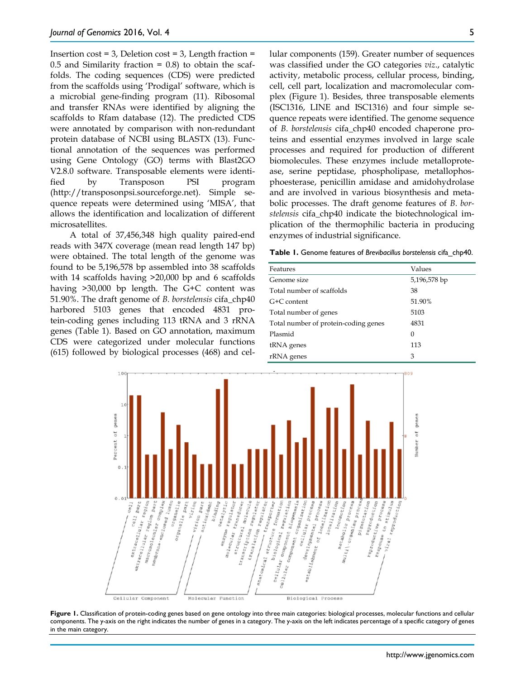Insertion  $cost = 3$ , Deletion  $cost = 3$ , Length fraction =  $0.5$  and Similarity fraction =  $0.8$ ) to obtain the scaffolds. The coding sequences (CDS) were predicted from the scaffolds using 'Prodigal' software, which is a microbial gene-finding program (11). Ribosomal and transfer RNAs were identified by aligning the scaffolds to Rfam database (12). The predicted CDS were annotated by comparison with non-redundant protein database of NCBI using BLASTX (13). Functional annotation of the sequences was performed using Gene Ontology (GO) terms with Blast2GO V2.8.0 software. Transposable elements were identified by Transposon PSI program (http://transposonpsi.sourceforge.net). Simple sequence repeats were determined using 'MISA', that allows the identification and localization of different microsatellites.

A total of 37,456,348 high quality paired-end reads with 347X coverage (mean read length 147 bp) were obtained. The total length of the genome was found to be 5,196,578 bp assembled into 38 scaffolds with 14 scaffolds having  $>20,000$  bp and 6 scaffolds having >30,000 bp length. The G+C content was 51.90%. The draft genome of *B. borstelensis* cifa\_chp40 harbored 5103 genes that encoded 4831 protein-coding genes including 113 tRNA and 3 rRNA genes (Table 1). Based on GO annotation, maximum CDS were categorized under molecular functions (615) followed by biological processes (468) and cellular components (159). Greater number of sequences was classified under the GO categories *viz*., catalytic activity, metabolic process, cellular process, binding, cell, cell part, localization and macromolecular complex (Figure 1). Besides, three transposable elements (ISC1316, LINE and ISC1316) and four simple sequence repeats were identified. The genome sequence of *B. borstelensis* cifa\_chp40 encoded chaperone pro-

**Table 1.** Genome features of *Brevibacillus borstelensis* cifa\_chp40.

enzymes of industrial significance.

teins and essential enzymes involved in large scale processes and required for production of different biomolecules. These enzymes include metalloprotease, serine peptidase, phospholipase, metallophosphoesterase, penicillin amidase and amidohydrolase and are involved in various biosynthesis and metabolic processes. The draft genome features of *B. borstelensis* cifa\_chp40 indicate the biotechnological implication of the thermophilic bacteria in producing

| Features                             | Values       |
|--------------------------------------|--------------|
| Genome size                          | 5,196,578 bp |
| Total number of scaffolds            | 38           |
| G+C content                          | 51.90%       |
| Total number of genes                | 5103         |
| Total number of protein-coding genes | 4831         |
| Plasmid                              | $\Omega$     |
| tRNA genes                           | 113          |
| rRNA genes                           | 3            |



Figure 1. Classification of protein-coding genes based on gene ontology into three main categories: biological processes, molecular functions and cellular components. The y-axis on the right indicates the number of genes in a category. The y-axis on the left indicates percentage of a specific category of genes in the main category.